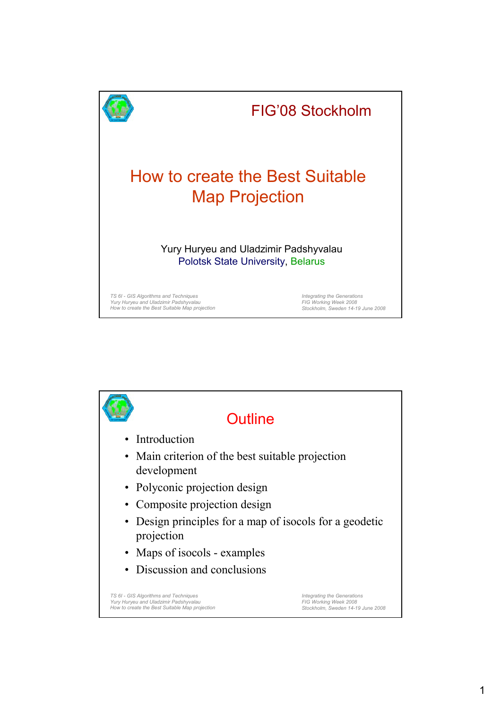

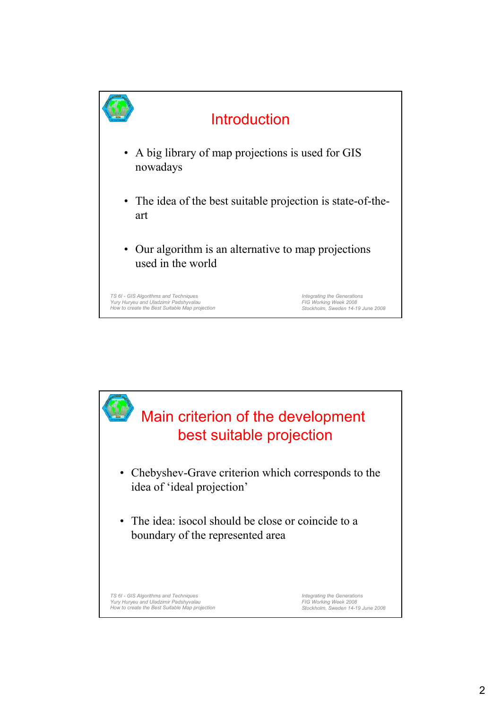

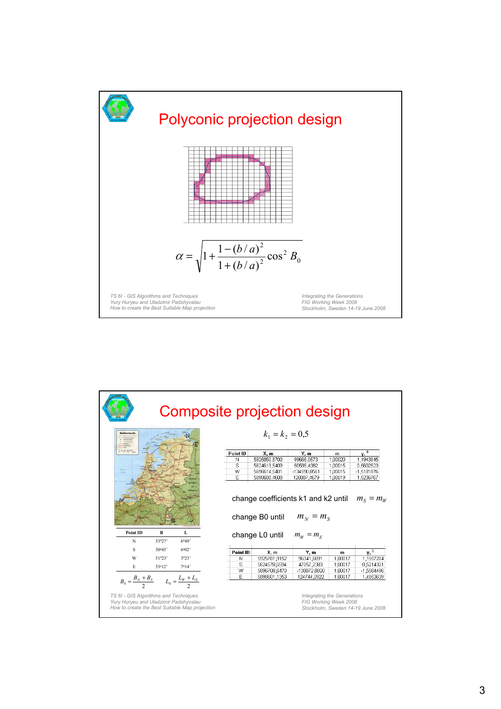

|                                                         |        | Composite projection design |                   |                                     |              |              |                       |
|---------------------------------------------------------|--------|-----------------------------|-------------------|-------------------------------------|--------------|--------------|-----------------------|
| Netherlands                                             |        |                             | $k_1 = k_2 = 0.5$ |                                     |              |              |                       |
|                                                         |        |                             | Point ID          | X.m                                 | Y.m          | $\mathbf{m}$ | $v^0$                 |
|                                                         |        |                             | N                 | 5925850.8700                        | 99666.0573   | 1,00020      | 1,1943645             |
|                                                         |        |                             | s                 | 5624613.5409                        | 50585.4382   | 1,00015      | 0.5602523             |
|                                                         |        |                             | W                 | 5696614.5401                        | -134590.8561 | 1.00015      | -1.5181876            |
|                                                         |        |                             | E                 | 5898688,4608                        | 128087,4679  | 1.00019      | 1.5236767             |
|                                                         |        |                             |                   | change coefficients k1 and k2 until |              |              | $m_{\rm s}=m_{\rm w}$ |
| Point ID                                                | B      | L                           |                   | change B0 until $m_N = m_S$         |              |              |                       |
| N                                                       | 53027' | 6049'                       |                   | change L0 until                     | $m_w = m_F$  |              |                       |
| S                                                       | 50045' | $6^{0}02$                   | Point ID          | X, m                                | Y.m          | m            | v. <sup>0</sup>       |
| W                                                       | 51023' | 3023'                       | Ν                 | 5925781.9152                        | 96341,6691   | 1,00017      | 1.1557204             |
|                                                         |        |                             | s                 | 5624578,6594                        | 47057.2383   | 1.00017      | 0.5214321             |
| E                                                       | 53012' | 7014'                       | W                 | 5696708,6470                        | -138072,8820 | 1,00017      | -1,5584496            |
| $B_0 = \frac{B_N + B_S}{2}$ $L_0 = \frac{L_W + L_E}{2}$ |        |                             | E                 | 5898601,1353                        | 124744,0922  | 1,00017      | 1,4853639             |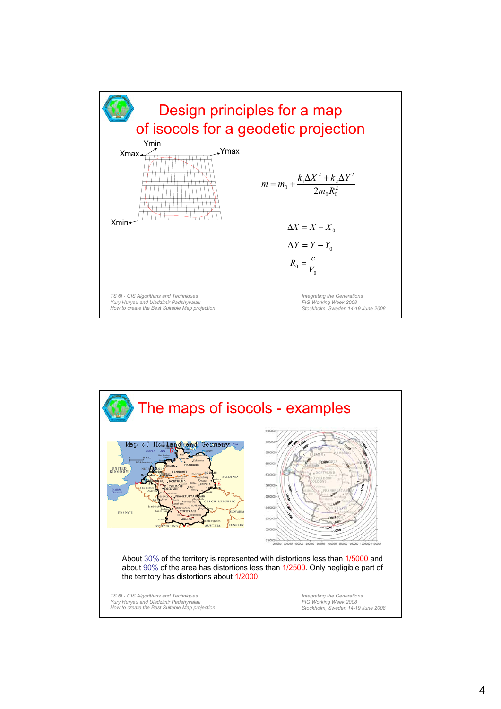

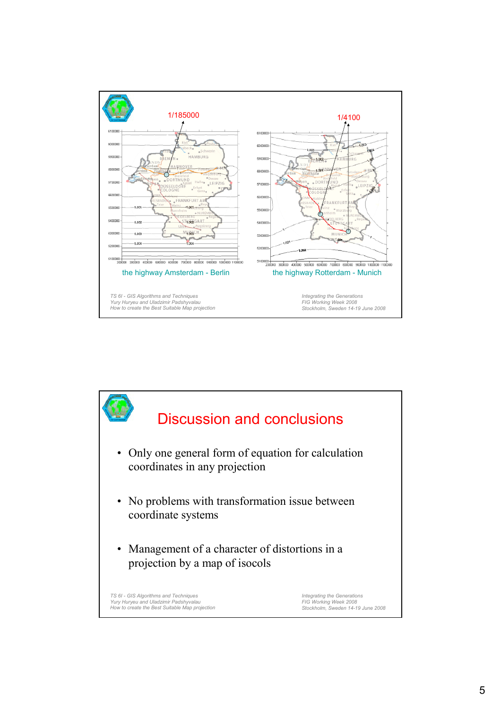